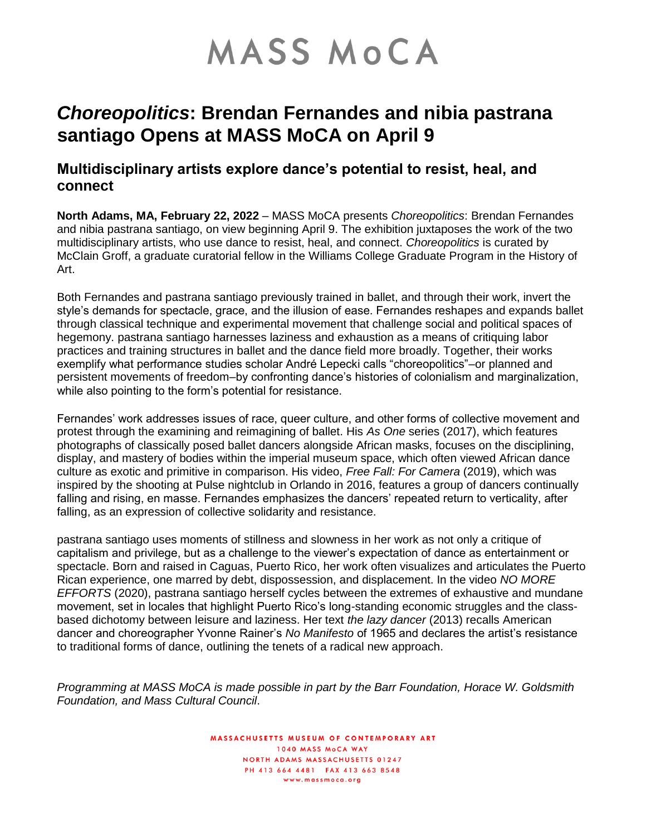# **MASS MOCA**

## *Choreopolitics***: Brendan Fernandes and nibia pastrana santiago Opens at MASS MoCA on April 9**

### **Multidisciplinary artists explore dance's potential to resist, heal, and connect**

**North Adams, MA, February 22, 2022** – MASS MoCA presents *Choreopolitics*: Brendan Fernandes and nibia pastrana santiago, on view beginning April 9. The exhibition juxtaposes the work of the two multidisciplinary artists, who use dance to resist, heal, and connect. *Choreopolitics* is curated by McClain Groff, a graduate curatorial fellow in the Williams College Graduate Program in the History of Art.

Both Fernandes and pastrana santiago previously trained in ballet, and through their work, invert the style's demands for spectacle, grace, and the illusion of ease. Fernandes reshapes and expands ballet through classical technique and experimental movement that challenge social and political spaces of hegemony. pastrana santiago harnesses laziness and exhaustion as a means of critiquing labor practices and training structures in ballet and the dance field more broadly. Together, their works exemplify what performance studies scholar André Lepecki calls "choreopolitics"–or planned and persistent movements of freedom–by confronting dance's histories of colonialism and marginalization, while also pointing to the form's potential for resistance.

Fernandes' work addresses issues of race, queer culture, and other forms of collective movement and protest through the examining and reimagining of ballet. His *As One* series (2017), which features photographs of classically posed ballet dancers alongside African masks, focuses on the disciplining, display, and mastery of bodies within the imperial museum space, which often viewed African dance culture as exotic and primitive in comparison. His video, *Free Fall: For Camera* (2019), which was inspired by the shooting at Pulse nightclub in Orlando in 2016, features a group of dancers continually falling and rising, en masse. Fernandes emphasizes the dancers' repeated return to verticality, after falling, as an expression of collective solidarity and resistance.

pastrana santiago uses moments of stillness and slowness in her work as not only a critique of capitalism and privilege, but as a challenge to the viewer's expectation of dance as entertainment or spectacle. Born and raised in Caguas, Puerto Rico, her work often visualizes and articulates the Puerto Rican experience, one marred by debt, dispossession, and displacement. In the video *NO MORE EFFORTS* (2020), pastrana santiago herself cycles between the extremes of exhaustive and mundane movement, set in locales that highlight Puerto Rico's long-standing economic struggles and the classbased dichotomy between leisure and laziness. Her text *the lazy dancer* (2013) recalls American dancer and choreographer Yvonne Rainer's *No Manifesto* of 1965 and declares the artist's resistance to traditional forms of dance, outlining the tenets of a radical new approach.

*Programming at MASS MoCA is made possible in part by the Barr Foundation, Horace W. Goldsmith Foundation, and Mass Cultural Council*.

> **MASSACHUSETTS MUSEUM OF CONTEMPORARY ART** 1040 MASS MoCA WAY NORTH ADAMS MASSACHUSETTS 01247 PH 413 664 4481 FAX 413 663 8548 www.massmoca.org